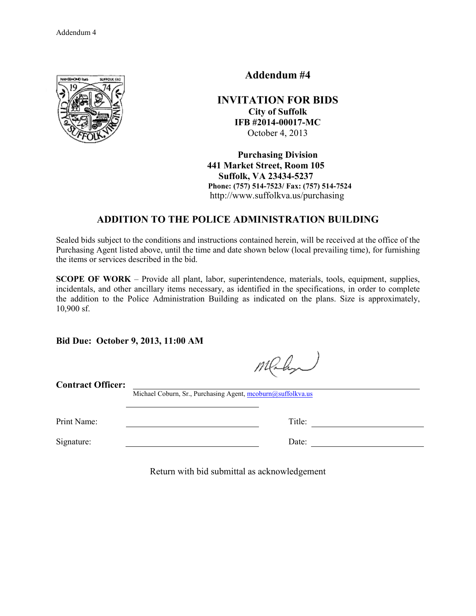

**Addendum #4** 

**INVITATION FOR BIDS City of Suffolk IFB #2014-00017-MC**  October 4, 2013

**Purchasing Division 441 Market Street, Room 105 Suffolk, VA 23434-5237 Phone: (757) 514-7523/ Fax: (757) 514-7524**  http://www.suffolkva.us/purchasing

## **ADDITION TO THE POLICE ADMINISTRATION BUILDING**

Sealed bids subject to the conditions and instructions contained herein, will be received at the office of the Purchasing Agent listed above, until the time and date shown below (local prevailing time), for furnishing the items or services described in the bid.

**SCOPE OF WORK** – Provide all plant, labor, superintendence, materials, tools, equipment, supplies, incidentals, and other ancillary items necessary, as identified in the specifications, in order to complete the addition to the Police Administration Building as indicated on the plans. Size is approximately, 10,900 sf.

**Bid Due: October 9, 2013, 11:00 AM** 

Malyn

**Contract Officer:**

Michael Coburn, Sr., Purchasing Agent, mcoburn@suffolkva.us

Signature: Date:

Print Name: Title: Title:

Return with bid submittal as acknowledgement